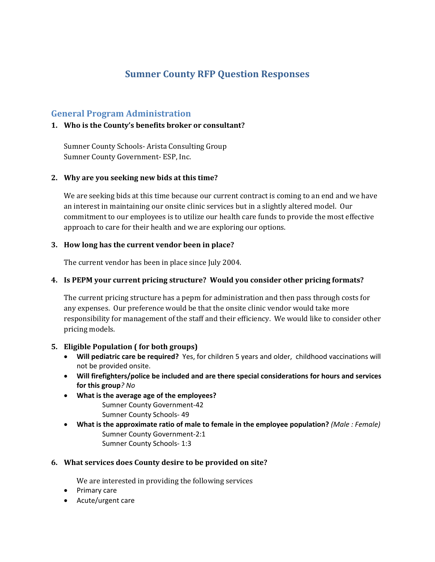# **Sumner County RFP Question Responses**

# **General Program Administration**

# **1. Who is the County's benefits broker or consultant?**

Sumner County Schools- Arista Consulting Group Sumner County Government- ESP, Inc.

### **2. Why are you seeking new bids at this time?**

We are seeking bids at this time because our current contract is coming to an end and we have an interest in maintaining our onsite clinic services but in a slightly altered model. Our commitment to our employees is to utilize our health care funds to provide the most effective approach to care for their health and we are exploring our options.

### **3. How long has the current vendor been in place?**

The current vendor has been in place since July 2004.

### **4. Is PEPM your current pricing structure? Would you consider other pricing formats?**

The current pricing structure has a pepm for administration and then pass through costs for any expenses. Our preference would be that the onsite clinic vendor would take more responsibility for management of the staff and their efficiency. We would like to consider other pricing models.

### **5. Eligible Population ( for both groups)**

- **Will pediatric care be required?**Yes, for children 5 years and older, childhood vaccinations will not be provided onsite.
- **Will firefighters/police be included and are there special considerations for hours and services for this group***? No*
- **What is the average age of the employees?** Sumner County Government‐42 Sumner County Schools‐ 49
- **What is the approximate ratio of male to female in the employee population?** *(Male : Female)* Sumner County Government‐2:1 Sumner County Schools‐ 1:3

### **6. What services does County desire to be provided on site?**

We are interested in providing the following services

- Primary care
- Acute/urgent care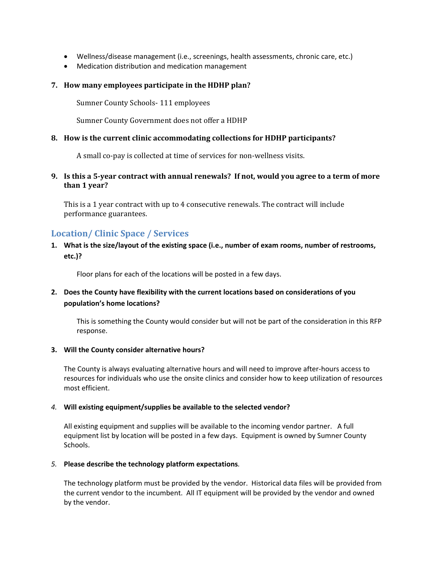- Wellness/disease management (i.e., screenings, health assessments, chronic care, etc.)
- Medication distribution and medication management

#### **7. How many employees participate in the HDHP plan?**

Sumner County Schools- 111 employees

Sumner County Government does not offer a HDHP

#### **8. How is the current clinic accommodating collections for HDHP participants?**

A small co-pay is collected at time of services for non-wellness visits.

#### 9. Is this a 5-year contract with annual renewals? If not, would you agree to a term of more **than 1 year**?

This is a 1 year contract with up to 4 consecutive renewals. The contract will include performance guarantees.

# **Location/ Clinic Space / Services**

### **1. What is the size/layout of the existing space (i.e., number of exam rooms, number of restrooms, etc.)?**

Floor plans for each of the locations will be posted in a few days.

# **2. Does the County have flexibility with the current locations based on considerations of you population's home locations?**

This is something the County would consider but will not be part of the consideration in this RFP response.

#### **3. Will the County consider alternative hours?**

The County is always evaluating alternative hours and will need to improve after‐hours access to resources for individuals who use the onsite clinics and consider how to keep utilization of resources most efficient.

#### *4.* **Will existing equipment/supplies be available to the selected vendor?**

All existing equipment and supplies will be available to the incoming vendor partner. A full equipment list by location will be posted in a few days. Equipment is owned by Sumner County Schools.

#### *5.* **Please describe the technology platform expectations***.*

The technology platform must be provided by the vendor. Historical data files will be provided from the current vendor to the incumbent. All IT equipment will be provided by the vendor and owned by the vendor.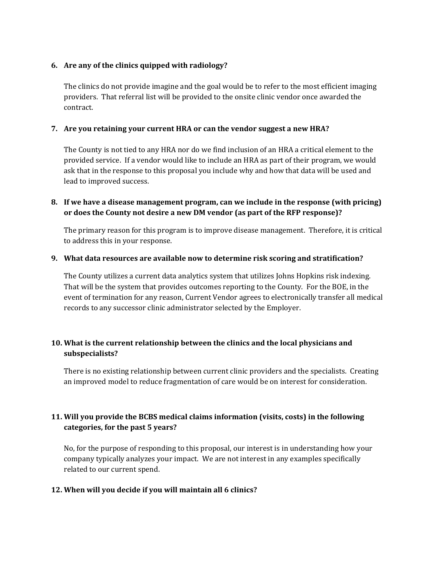### **6. Are any of the clinics quipped with radiology?**

The clinics do not provide imagine and the goal would be to refer to the most efficient imaging providers. That referral list will be provided to the onsite clinic vendor once awarded the contract. 

# **7. Are you retaining your current HRA or can the vendor suggest a new HRA?**

The County is not tied to any HRA nor do we find inclusion of an HRA a critical element to the provided service. If a vendor would like to include an HRA as part of their program, we would ask that in the response to this proposal you include why and how that data will be used and lead to improved success.

# **8. If we have a disease management program, can we include in the response (with pricing) or does the County not desire a new DM vendor (as part of the RFP response)?**

The primary reason for this program is to improve disease management. Therefore, it is critical to address this in your response.

#### **9. What data resources are available now to determine risk scoring and stratification?**

The County utilizes a current data analytics system that utilizes Johns Hopkins risk indexing. That will be the system that provides outcomes reporting to the County. For the BOE, in the event of termination for any reason, Current Vendor agrees to electronically transfer all medical records to any successor clinic administrator selected by the Employer.

# **10. What is the current relationship between the clinics and the local physicians and subspecialists?**

There is no existing relationship between current clinic providers and the specialists. Creating an improved model to reduce fragmentation of care would be on interest for consideration.

# **11. Will you provide the BCBS medical claims information (visits, costs) in the following categories, for the past 5 years?**

No, for the purpose of responding to this proposal, our interest is in understanding how your company typically analyzes your impact. We are not interest in any examples specifically related to our current spend.

# **12. When will you decide if you will maintain all 6 clinics?**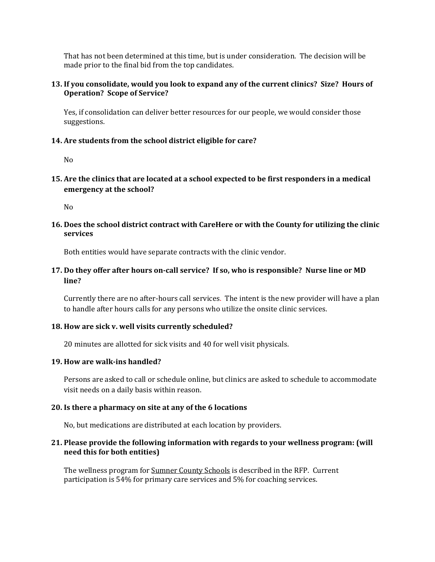That has not been determined at this time, but is under consideration. The decision will be made prior to the final bid from the top candidates.

#### 13. If you consolidate, would you look to expand any of the current clinics? Size? Hours of **Operation? Scope of Service?**

Yes, if consolidation can deliver better resources for our people, we would consider those suggestions. 

#### **14. Are students from the school district eligible for care?**

 $No$ 

#### **15. Are the clinics that are located at a school expected to be first responders in a medical emergency at the school?**

No 

#### **16. Does the school district contract with CareHere or with the County for utilizing the clinic services**

Both entities would have separate contracts with the clinic vendor.

### 17. Do they offer after hours on-call service? If so, who is responsible? Nurse line or MD **line?**

Currently there are no after-hours call services. The intent is the new provider will have a plan to handle after hours calls for any persons who utilize the onsite clinic services.

#### **18. How are sick v. well visits currently scheduled?**

20 minutes are allotted for sick visits and 40 for well visit physicals.

#### **19. How are walk‐ins handled?**

Persons are asked to call or schedule online, but clinics are asked to schedule to accommodate visit needs on a daily basis within reason.

### **20. Is there a pharmacy on site at any of the 6 locations**

No, but medications are distributed at each location by providers.

### **21. Please provide the following information with regards to your wellness program: (will need this for both entities)**

The wellness program for Sumner County Schools is described in the RFP. Current participation is 54% for primary care services and 5% for coaching services.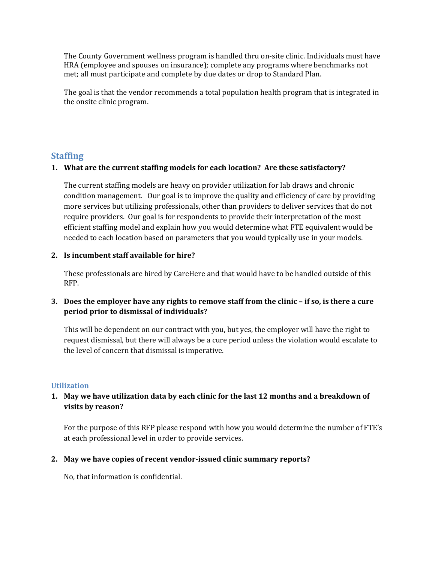The County Government wellness program is handled thru on-site clinic. Individuals must have HRA (employee and spouses on insurance); complete any programs where benchmarks not met; all must participate and complete by due dates or drop to Standard Plan.

The goal is that the vendor recommends a total population health program that is integrated in the onsite clinic program.

# **Staffing**

### **1. What are the current staffing models for each location? Are these satisfactory?**

The current staffing models are heavy on provider utilization for lab draws and chronic condition management. Our goal is to improve the quality and efficiency of care by providing more services but utilizing professionals, other than providers to deliver services that do not require providers. Our goal is for respondents to provide their interpretation of the most efficient staffing model and explain how you would determine what FTE equivalent would be needed to each location based on parameters that you would typically use in your models.

#### **2. Is incumbent staff available for hire?**

These professionals are hired by CareHere and that would have to be handled outside of this RFP. 

# 3. Does the employer have any rights to remove staff from the clinic – if so, is there a cure **period prior to dismissal of individuals?**

This will be dependent on our contract with you, but yes, the employer will have the right to request dismissal, but there will always be a cure period unless the violation would escalate to the level of concern that dismissal is imperative.

#### **Utilization**

# **1. May we have utilization data by each clinic for the last 12 months and a breakdown of visits by reason?**

For the purpose of this RFP please respond with how you would determine the number of FTE's at each professional level in order to provide services.

#### **2. May we have copies of recent vendor‐issued clinic summary reports?**

No, that information is confidential.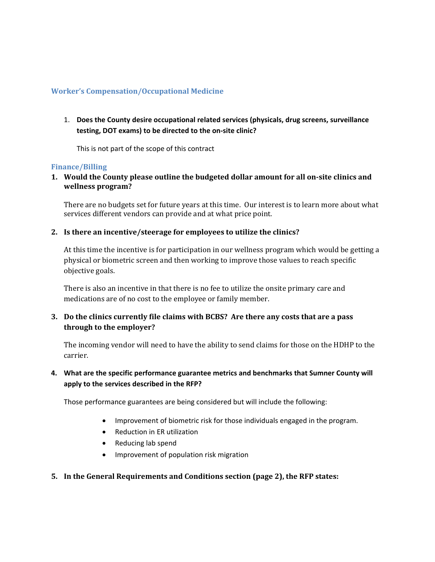### **Worker's Compensation/Occupational Medicine**

1. **Does the County desire occupational related services (physicals, drug screens, surveillance testing, DOT exams) to be directed to the on‐site clinic?**

This is not part of the scope of this contract

#### **Finance/Billing**

**1. Would the County please outline the budgeted dollar amount for all on‐site clinics and wellness program?**

There are no budgets set for future years at this time. Our interest is to learn more about what services different vendors can provide and at what price point.

### **2. Is there an incentive/steerage for employees to utilize the clinics?**

At this time the incentive is for participation in our wellness program which would be getting a physical or biometric screen and then working to improve those values to reach specific objective goals.

There is also an incentive in that there is no fee to utilize the onsite primary care and medications are of no cost to the employee or family member.

**3. Do the clinics currently file claims with BCBS? Are there any costs that are a pass through to the employer?**

The incoming vendor will need to have the ability to send claims for those on the HDHP to the carrier. 

# **4. What are the specific performance guarantee metrics and benchmarks that Sumner County will apply to the services described in the RFP?**

Those performance guarantees are being considered but will include the following:

- Improvement of biometric risk for those individuals engaged in the program.
- Reduction in ER utilization
- Reducing lab spend
- Improvement of population risk migration

### **5. In the General Requirements and Conditions section (page 2), the RFP states:**